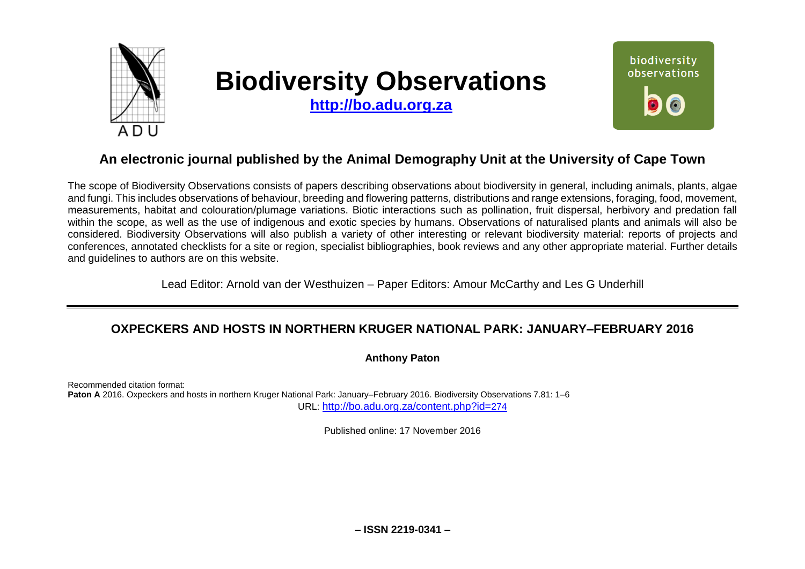

# **Biodiversity Observations**

**[http://bo.adu.org.za](http://bo.adu.org.za/)**



## **An electronic journal published by the Animal Demography Unit at the University of Cape Town**

The scope of Biodiversity Observations consists of papers describing observations about biodiversity in general, including animals, plants, algae and fungi. This includes observations of behaviour, breeding and flowering patterns, distributions and range extensions, foraging, food, movement, measurements, habitat and colouration/plumage variations. Biotic interactions such as pollination, fruit dispersal, herbivory and predation fall within the scope, as well as the use of indigenous and exotic species by humans. Observations of naturalised plants and animals will also be considered. Biodiversity Observations will also publish a variety of other interesting or relevant biodiversity material: reports of projects and conferences, annotated checklists for a site or region, specialist bibliographies, book reviews and any other appropriate material. Further details and guidelines to authors are on this website.

Lead Editor: Arnold van der Westhuizen – Paper Editors: Amour McCarthy and Les G Underhill

## **OXPECKERS AND HOSTS IN NORTHERN KRUGER NATIONAL PARK: JANUARY–FEBRUARY 2016**

**Anthony Paton** 

Recommended citation format: **Paton A** 2016. Oxpeckers and hosts in northern Kruger National Park: January–February 2016. Biodiversity Observations 7.81: 1–6 URL: [http://bo.adu.org.za/content.php?id=](http://bo.adu.org.za/content.php?id=274)274

Published online: 17 November 2016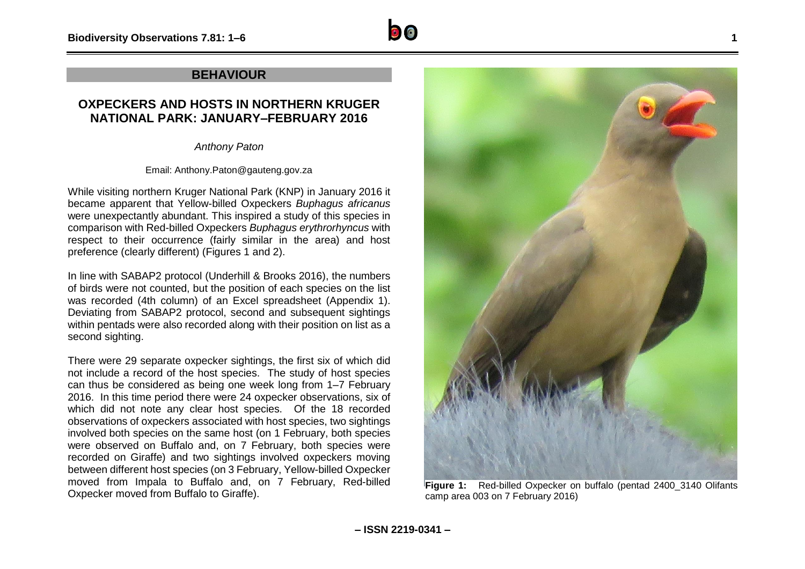#### **BEHAVIOUR**

### **OXPECKERS AND HOSTS IN NORTHERN KRUGER NATIONAL PARK: JANUARY–FEBRUARY 2016**

*Anthony Paton*

Email: Anthony.Paton@gauteng.gov.za

While visiting northern Kruger National Park (KNP) in January 2016 it became apparent that Yellow-billed Oxpeckers *Buphagus africanus*  were unexpectantly abundant. This inspired a study of this species in comparison with Red-billed Oxpeckers *Buphagus erythrorhyncus* with respect to their occurrence (fairly similar in the area) and host preference (clearly different) (Figures 1 and 2).

In line with SABAP2 protocol (Underhill & Brooks 2016), the numbers of birds were not counted, but the position of each species on the list was recorded (4th column) of an Excel spreadsheet (Appendix 1). Deviating from SABAP2 protocol, second and subsequent sightings within pentads were also recorded along with their position on list as a second sighting.

There were 29 separate oxpecker sightings, the first six of which did not include a record of the host species. The study of host species can thus be considered as being one week long from 1–7 February 2016. In this time period there were 24 oxpecker observations, six of which did not note any clear host species. Of the 18 recorded observations of oxpeckers associated with host species, two sightings involved both species on the same host (on 1 February, both species were observed on Buffalo and, on 7 February, both species were recorded on Giraffe) and two sightings involved oxpeckers moving between different host species (on 3 February, Yellow-billed Oxpecker moved from Impala to Buffalo and, on 7 February, Red-billed Oxpecker moved from Buffalo to Giraffe).



camp area 003 on 7 February 2016)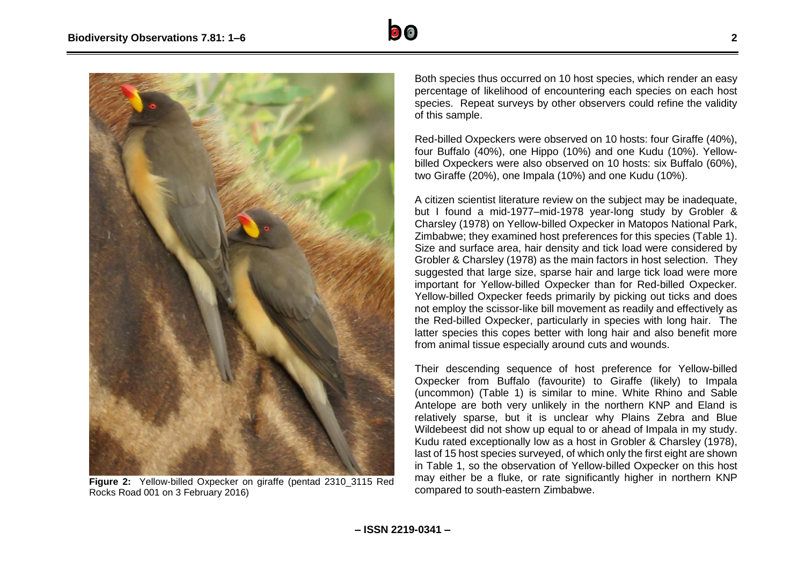



**Figure 2:** Yellow-billed Oxpecker on giraffe (pentad 2310\_3115 Red Rocks Road 001 on 3 February 2016)

Both species thus occurred on 10 host species, which render an easy percentage of likelihood of encountering each species on each host species. Repeat surveys by other observers could refine the validity of this sample.

Red-billed Oxpeckers were observed on 10 hosts: four Giraffe (40%), four Buffalo (40%), one Hippo (10%) and one Kudu (10%). Yellowbilled Oxpeckers were also observed on 10 hosts: six Buffalo (60%), two Giraffe (20%), one Impala (10%) and one Kudu (10%).

A citizen scientist literature review on the subject may be inadequate, but I found a mid-1977–mid-1978 year-long study by Grobler & Charsley (1978) on Yellow-billed Oxpecker in Matopos National Park, Zimbabwe; they examined host preferences for this species (Table 1). Size and surface area, hair density and tick load were considered by Grobler & Charsley (1978) as the main factors in host selection. They suggested that large size, sparse hair and large tick load were more important for Yellow-billed Oxpecker than for Red-billed Oxpecker*.*  Yellow-billed Oxpecker feeds primarily by picking out ticks and does not employ the scissor-like bill movement as readily and effectively as the Red-billed Oxpecker, particularly in species with long hair. The latter species this copes better with long hair and also benefit more from animal tissue especially around cuts and wounds.

Their descending sequence of host preference for Yellow-billed Oxpecker from Buffalo (favourite) to Giraffe (likely) to Impala (uncommon) (Table 1) is similar to mine. White Rhino and Sable Antelope are both very unlikely in the northern KNP and Eland is relatively sparse, but it is unclear why Plains Zebra and Blue Wildebeest did not show up equal to or ahead of Impala in my study. Kudu rated exceptionally low as a host in Grobler & Charsley (1978), last of 15 host species surveyed, of which only the first eight are shown in Table 1, so the observation of Yellow-billed Oxpecker on this host may either be a fluke, or rate significantly higher in northern KNP compared to south-eastern Zimbabwe.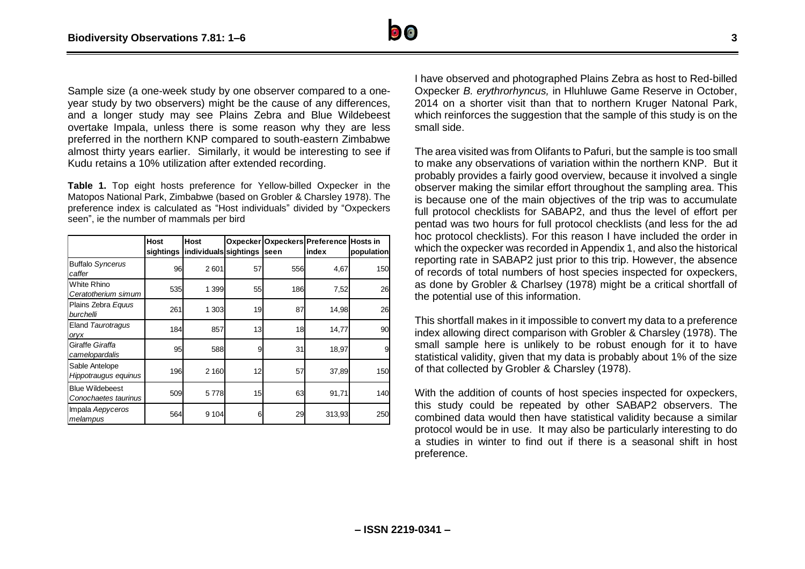

Sample size (a one-week study by one observer compared to a oneyear study by two observers) might be the cause of any differences, and a longer study may see Plains Zebra and Blue Wildebeest overtake Impala, unless there is some reason why they are less preferred in the northern KNP compared to south-eastern Zimbabwe almost thirty years earlier. Similarly, it would be interesting to see if Kudu retains a 10% utilization after extended recording.

**Table 1.** Top eight hosts preference for Yellow-billed Oxpecker in the Matopos National Park, Zimbabwe (based on Grobler & Charsley 1978). The preference index is calculated as "Host individuals" divided by "Oxpeckers seen", ie the number of mammals per bird

|                                                | Host | <b>Host</b><br>sightings individuals sightings |    | seen | Oxpecker Oxpeckers Preference<br>index | <b>Hosts in</b><br>population |
|------------------------------------------------|------|------------------------------------------------|----|------|----------------------------------------|-------------------------------|
| <b>Buffalo Syncerus</b><br>caffer              | 96   | 2601                                           | 57 | 556  | 4,67                                   | 150                           |
| White Rhino<br>Ceratotherium simum             | 535  | 1 399                                          | 55 | 186  | 7,52                                   | 26                            |
| Plains Zebra Equus<br>burchelli                | 261  | 1 303                                          | 19 | 87   | 14,98                                  | 26                            |
| Eland Taurotragus<br>oryx                      | 184  | 857                                            | 13 | 18   | 14,77                                  | 90                            |
| Giraffe Giraffa<br>camelopardalis              | 95   | 588                                            | 9  | 31   | 18,97                                  | 9                             |
| Sable Antelope<br>Hippotraugus equinus         | 196  | 2 160                                          | 12 | 57   | 37,89                                  | 150                           |
| <b>Blue Wildebeest</b><br>Conochaetes taurinus | 509  | 5778                                           | 15 | 63   | 91,71                                  | 140                           |
| Impala Aepyceros<br>melampus                   | 564  | 9 1 0 4                                        | 6  | 29   | 313,93                                 | 250                           |

I have observed and photographed Plains Zebra as host to Red-billed Oxpecker *B. erythrorhyncus,* in Hluhluwe Game Reserve in October, 2014 on a shorter visit than that to northern Kruger Natonal Park, which reinforces the suggestion that the sample of this study is on the small side.

The area visited was from Olifants to Pafuri, but the sample is too small to make any observations of variation within the northern KNP. But it probably provides a fairly good overview, because it involved a single observer making the similar effort throughout the sampling area. This is because one of the main objectives of the trip was to accumulate full protocol checklists for SABAP2, and thus the level of effort per pentad was two hours for full protocol checklists (and less for the ad hoc protocol checklists). For this reason I have included the order in which the oxpecker was recorded in Appendix 1, and also the historical reporting rate in SABAP2 just prior to this trip. However, the absence of records of total numbers of host species inspected for oxpeckers, as done by Grobler & Charlsey (1978) might be a critical shortfall of the potential use of this information.

This shortfall makes in it impossible to convert my data to a preference index allowing direct comparison with Grobler & Charsley (1978). The small sample here is unlikely to be robust enough for it to have statistical validity, given that my data is probably about 1% of the size of that collected by Grobler & Charsley (1978).

With the addition of counts of host species inspected for oxpeckers, this study could be repeated by other SABAP2 observers. The combined data would then have statistical validity because a similar protocol would be in use. It may also be particularly interesting to do a studies in winter to find out if there is a seasonal shift in host preference.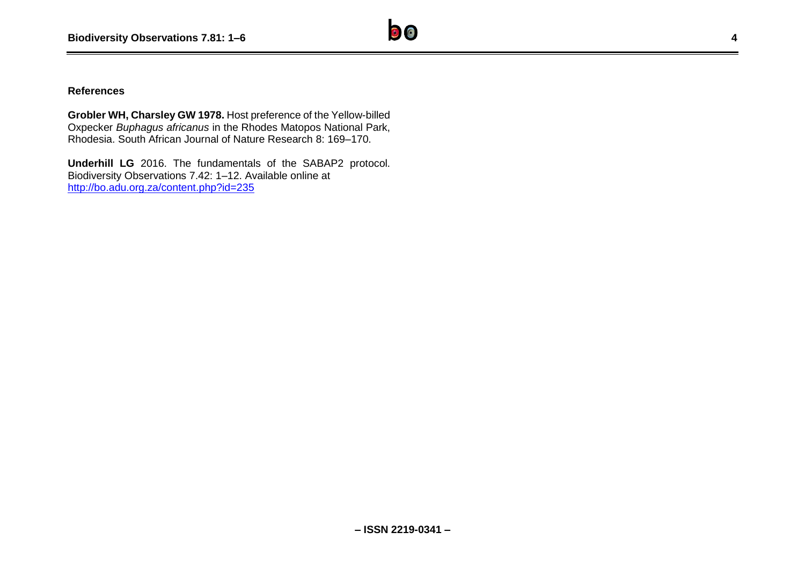**Grobler WH, Charsley GW 1978.** Host preference of the Yellow-billed Oxpecker *Buphagus africanus* in the Rhodes Matopos National Park, Rhodesia. South African Journal of Nature Research 8: 169–170.

**Underhill LG** 2016. The fundamentals of the SABAP2 protocol. Biodiversity Observations 7.42: 1–12. Available online at <http://bo.adu.org.za/content.php?id=235>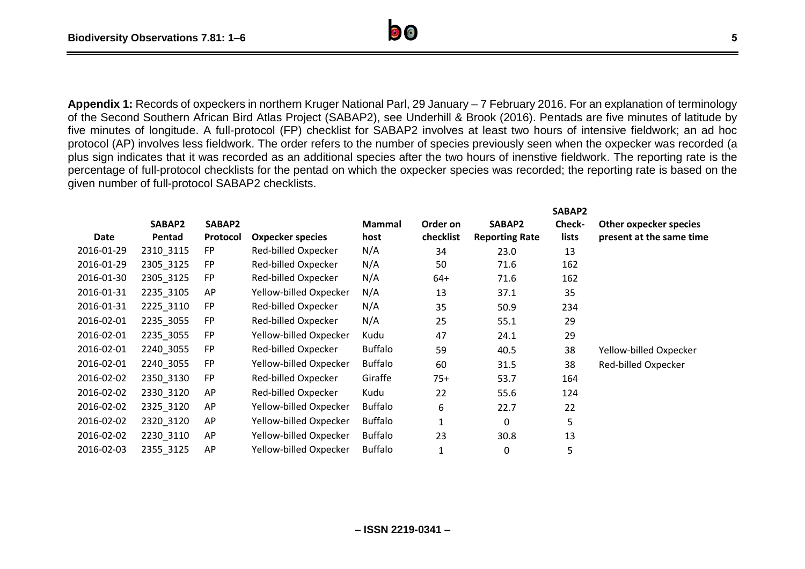**Appendix 1:** Records of oxpeckers in northern Kruger National Parl, 29 January – 7 February 2016. For an explanation of terminology of the Second Southern African Bird Atlas Project (SABAP2), see Underhill & Brook (2016). Pentads are five minutes of latitude by five minutes of longitude. A full-protocol (FP) checklist for SABAP2 involves at least two hours of intensive fieldwork; an ad hoc protocol (AP) involves less fieldwork. The order refers to the number of species previously seen when the oxpecker was recorded (a plus sign indicates that it was recorded as an additional species after the two hours of inenstive fieldwork. The reporting rate is the percentage of full-protocol checklists for the pentad on which the oxpecker species was recorded; the reporting rate is based on the given number of full-protocol SABAP2 checklists.

|            |           |           |                         |                |              |                       | SABAP2        |                          |
|------------|-----------|-----------|-------------------------|----------------|--------------|-----------------------|---------------|--------------------------|
|            | SABAP2    | SABAP2    |                         | <b>Mammal</b>  | Order on     | SABAP2                | <b>Check-</b> | Other oxpecker species   |
| Date       | Pentad    | Protocol  | <b>Oxpecker species</b> | host           | checklist    | <b>Reporting Rate</b> | lists         | present at the same time |
| 2016-01-29 | 2310 3115 | FP.       | Red-billed Oxpecker     | N/A            | 34           | 23.0                  | 13            |                          |
| 2016-01-29 | 2305_3125 | <b>FP</b> | Red-billed Oxpecker     | N/A            | 50           | 71.6                  | 162           |                          |
| 2016-01-30 | 2305_3125 | <b>FP</b> | Red-billed Oxpecker     | N/A            | $64+$        | 71.6                  | 162           |                          |
| 2016-01-31 | 2235_3105 | AP        | Yellow-billed Oxpecker  | N/A            | 13           | 37.1                  | 35            |                          |
| 2016-01-31 | 2225_3110 | <b>FP</b> | Red-billed Oxpecker     | N/A            | 35           | 50.9                  | 234           |                          |
| 2016-02-01 | 2235_3055 | <b>FP</b> | Red-billed Oxpecker     | N/A            | 25           | 55.1                  | 29            |                          |
| 2016-02-01 | 2235_3055 | <b>FP</b> | Yellow-billed Oxpecker  | Kudu           | 47           | 24.1                  | 29            |                          |
| 2016-02-01 | 2240 3055 | <b>FP</b> | Red-billed Oxpecker     | <b>Buffalo</b> | 59           | 40.5                  | 38            | Yellow-billed Oxpecker   |
| 2016-02-01 | 2240_3055 | <b>FP</b> | Yellow-billed Oxpecker  | <b>Buffalo</b> | 60           | 31.5                  | 38            | Red-billed Oxpecker      |
| 2016-02-02 | 2350_3130 | <b>FP</b> | Red-billed Oxpecker     | Giraffe        | $75+$        | 53.7                  | 164           |                          |
| 2016-02-02 | 2330_3120 | AP        | Red-billed Oxpecker     | Kudu           | 22           | 55.6                  | 124           |                          |
| 2016-02-02 | 2325_3120 | AP        | Yellow-billed Oxpecker  | <b>Buffalo</b> | 6            | 22.7                  | 22            |                          |
| 2016-02-02 | 2320 3120 | AP        | Yellow-billed Oxpecker  | <b>Buffalo</b> | $\mathbf{1}$ | $\Omega$              | 5             |                          |
| 2016-02-02 | 2230_3110 | AP        | Yellow-billed Oxpecker  | <b>Buffalo</b> | 23           | 30.8                  | 13            |                          |
| 2016-02-03 | 2355_3125 | AP        | Yellow-billed Oxpecker  | <b>Buffalo</b> | $\mathbf{1}$ | 0                     | 5             |                          |